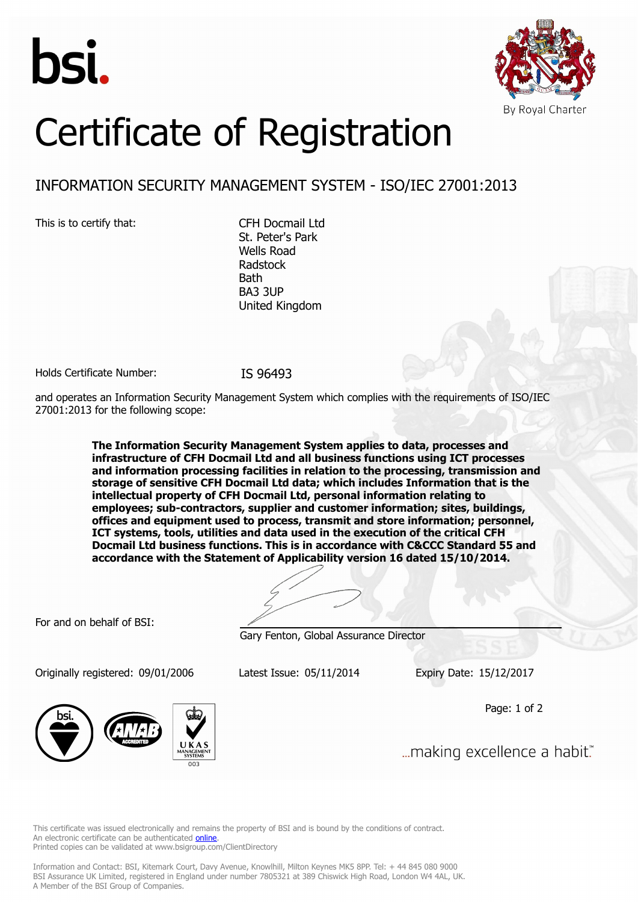



# Certificate of Registration

## INFORMATION SECURITY MANAGEMENT SYSTEM - ISO/IEC 27001:2013

This is to certify that: CFH Docmail Ltd

St. Peter's Park Wells Road Radstock **Bath** BA3 3UP United Kingdom

Holds Certificate Number: IS 96493

and operates an Information Security Management System which complies with the requirements of ISO/IEC 27001:2013 for the following scope:

> **The Information Security Management System applies to data, processes and infrastructure of CFH Docmail Ltd and all business functions using ICT processes and information processing facilities in relation to the processing, transmission and storage of sensitive CFH Docmail Ltd data; which includes Information that is the intellectual property of CFH Docmail Ltd, personal information relating to employees; sub-contractors, supplier and customer information; sites, buildings, offices and equipment used to process, transmit and store information; personnel, ICT systems, tools, utilities and data used in the execution of the critical CFH Docmail Ltd business functions. This is in accordance with C&CCC Standard 55 and accordance with the Statement of Applicability version 16 dated 15/10/2014.**

For and on behalf of BSI:

Gary Fenton, Global Assurance Director

Originally registered: 09/01/2006 Latest Issue: 05/11/2014 Expiry Date: 15/12/2017

Page: 1 of 2



... making excellence a habit."

This certificate was issued electronically and remains the property of BSI and is bound by the conditions of contract. An electronic certificate can be authenticated **[online](https://pgplus.bsigroup.com/CertificateValidation/CertificateValidator.aspx?CertificateNumber=IS+96493&ReIssueDate=05%2f11%2f2014&Template=uk)**. Printed copies can be validated at www.bsigroup.com/ClientDirectory

Information and Contact: BSI, Kitemark Court, Davy Avenue, Knowlhill, Milton Keynes MK5 8PP. Tel: + 44 845 080 9000 BSI Assurance UK Limited, registered in England under number 7805321 at 389 Chiswick High Road, London W4 4AL, UK. A Member of the BSI Group of Companies.